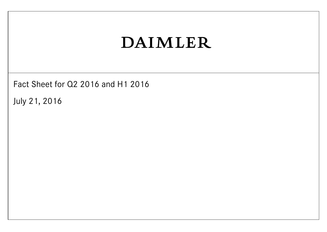Fact Sheet for Q2 2016 and H1 2016

July 21, 2016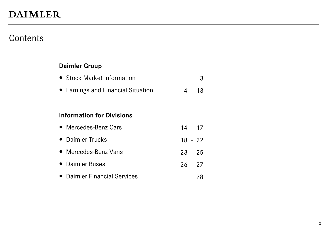### **Contents**

#### **Daimler Group**

|  | • Stock Market Information |  |  |
|--|----------------------------|--|--|
|--|----------------------------|--|--|

• Earnings and Financial Situation 4 - 13

#### **Information for Divisions**

| • Mercedes-Benz Cars         | $14 - 17$ |    |
|------------------------------|-----------|----|
| • Daimler Trucks             | $18 - 22$ |    |
| • Mercedes-Benz Vans         | $23 - 25$ |    |
| • Daimler Buses              | $26 - 27$ |    |
| • Daimler Financial Services |           | 78 |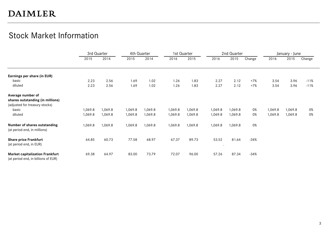### Stock Market Information

|                                                                               |         | 3rd Quarter |         | 4th Quarter |         | 1st Quarter |         | 2nd Quarter |        |         | January - June |        |
|-------------------------------------------------------------------------------|---------|-------------|---------|-------------|---------|-------------|---------|-------------|--------|---------|----------------|--------|
|                                                                               | 2015    | 2014        | 2015    | 2014        | 2016    | 2015        | 2016    | 2015        | Change | 2016    | 2015           | Change |
| Earnings per share (in EUR)                                                   |         |             |         |             |         |             |         |             |        |         |                |        |
| basic                                                                         | 2.23    | 2.56        | 1.69    | 1.02        | 1.26    | 1.83        | 2.27    | 2.12        | $+7%$  | 3.54    | 3.96           | $-11%$ |
| diluted                                                                       | 2.23    | 2.56        | 1.69    | 1.02        | 1.26    | 1.83        | 2.27    | 2.12        | $+7%$  | 3.54    | 3.96           | $-11%$ |
| Average number of                                                             |         |             |         |             |         |             |         |             |        |         |                |        |
| shares outstanding (in millions)                                              |         |             |         |             |         |             |         |             |        |         |                |        |
| (adjusted for treasury stocks)                                                |         |             |         |             |         |             |         |             |        |         |                |        |
| basic                                                                         | 1,069.8 | 1,069.8     | 1,069.8 | 1,069.8     | 1,069.8 | 1,069.8     | 1,069.8 | 1,069.8     | 0%     | 1,069.8 | 1,069.8        | 0%     |
| diluted                                                                       | 1,069.8 | 1,069.8     | 1,069.8 | 1,069.8     | 1,069.8 | 1,069.8     | 1,069.8 | 1,069.8     | 0%     | 1,069.8 | 1,069.8        | 0%     |
| Number of shares outstanding<br>(at period end, in millions)                  | 1,069.8 | 1,069.8     | 1,069.8 | 1,069.8     | 1,069.8 | 1,069.8     | 1,069.8 | 1,069.8     | 0%     |         |                |        |
| <b>Share price Frankfurt</b><br>(at period end, in EUR)                       | 64.85   | 60.73       | 77.58   | 68.97       | 67.37   | 89.73       | 53.52   | 81.64       | $-34%$ |         |                |        |
| <b>Market capitalization Frankfurt</b><br>(at period end, in billions of EUR) | 69.38   | 64.97       | 83.00   | 73.79       | 72.07   | 96.00       | 57.26   | 87.34       | $-34%$ |         |                |        |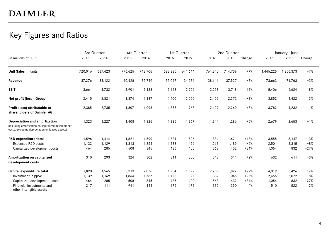### Key Figures and Ratios

|                                                                                                                                        |         | 3rd Quarter |         | 4th Quarter |         | 1st Quarter |         | 2nd Quarter |        |           | January - June |        |
|----------------------------------------------------------------------------------------------------------------------------------------|---------|-------------|---------|-------------|---------|-------------|---------|-------------|--------|-----------|----------------|--------|
| (in millions of EUR)                                                                                                                   | 2015    | 2014        | 2015    | 2014        | 2016    | 2015        | 2016    | 2015        | Change | 2016      | 2015           | Change |
| Unit Sales (in units)                                                                                                                  | 720,016 | 637,423     | 776,625 | 713,906     | 683,885 | 641,614     | 761,340 | 714,759     | $+7%$  | 1,445,225 | 1,356,373      | $+7%$  |
| Revenue                                                                                                                                | 37,276  | 33,122      | 40,428  | 35,749      | 35,047  | 34,236      | 38,616  | 37,527      | $+3%$  | 73,663    | 71,763         | $+3%$  |
| <b>EBIT</b>                                                                                                                            | 3,661   | 3,732       | 2,901   | 2,138       | 2,148   | 2,906       | 3,258   | 3,718       | $-12%$ | 5,406     | 6,624          | $-18%$ |
| Net profit (loss), Group                                                                                                               | 2,415   | 2,821       | 1,874   | 1,187       | 1,400   | 2,050       | 2,452   | 2,372       | $+3%$  | 3,852     | 4,422          | $-13%$ |
| Profit (loss) attributable to<br>shareholders of Daimler AG                                                                            | 2,385   | 2,735       | 1,807   | 1,096       | 1,353   | 1.963       | 2,429   | 2,269       | $+7%$  | 3,782     | 4,232          | $-11%$ |
| Depreciation and amortization<br>(including amortization on capitalized development<br>costs, excluding depreciation on leased assets) | 1,323   | 1,227       | 1,408   | 1,326       | 1,335   | 1,367       | 1,344   | 1,286       | $+5%$  | 2,679     | 2,653          | $+1%$  |
| <b>R&amp;D</b> expenditure total                                                                                                       | 1,596   | 1,414       | 1,821   | 1,599       | 1,724   | 1,526       | 1,831   | 1,621       | $+13%$ | 3,555     | 3,147          | $+13%$ |
| Expensed R&D costs                                                                                                                     | 1,132   | 1,129       | 1,313   | 1,254       | 1,238   | 1,126       | 1,263   | 1,189       | $+6%$  | 2,501     | 2,315          | $+8%$  |
| Capitalized development costs                                                                                                          | 464     | 285         | 508     | 345         | 486     | 400         | 568     | 432         | $+31%$ | 1,054     | 832            | $+27%$ |
| Amortization on capitalized<br>development costs                                                                                       | 310     | 293         | 324     | 302         | 314     | 300         | 318     | 311         | $+2%$  | 632       | 611            | $+3%$  |
| Capital expenditure total                                                                                                              | 1,820   | 1,565       | 3,313   | 2,076       | 1,784   | 1,599       | 2,235   | 1,827       | $+22%$ | 4,019     | 3,426          | $+17%$ |
| Investment in pp&e                                                                                                                     | 1,139   | 1,169       | 1,864   | 1,587       | 1,123   | 1,027       | 1,332   | 1,045       | $+27%$ | 2,455     | 2,072          | $+18%$ |
| Capitalized development costs                                                                                                          | 464     | 285         | 508     | 345         | 486     | 400         | 568     | 432         | $+31%$ | 1,054     | 832            | $+27%$ |
| Financial investments and<br>other intangible assets                                                                                   | 217     | 111         | 941     | 144         | 175     | 172         | 335     | 350         | $-4%$  | 510       | 522            | $-2%$  |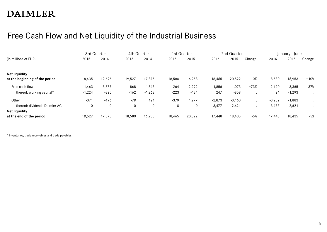### Free Cash Flow and Net Liquidity of the Industrial Business

|                                                        | 3rd Quarter       |                 | 4th Quarter      |                      | 1st Quarter   |                 | 2nd Quarter          |                      |        | January - June       |                      |                    |
|--------------------------------------------------------|-------------------|-----------------|------------------|----------------------|---------------|-----------------|----------------------|----------------------|--------|----------------------|----------------------|--------------------|
| (in millions of EUR)                                   | 2015              | 2014            | 2015             | 2014                 | 2016          | 2015            | 2016                 | 2015                 | Change | 2016                 | 2015                 | Change             |
| <b>Net liquidity</b><br>at the beginning of the period | 18,435            | 12,696          | 19,527           | 17,875               | 18,580        | 16,953          | 18,465               | 20,522               | $-10%$ | 18,580               | 16,953               | $+10%$             |
| Free cash flow<br>thereof: working capital*            | 1,463<br>$-1,224$ | 5,375<br>$-325$ | $-868$<br>$-162$ | $-1,343$<br>$-1,268$ | 264<br>$-223$ | 2,292<br>$-434$ | 1,856<br>247         | 1,073<br>$-859$      | $+73%$ | 2,120<br>24          | 3,365<br>$-1,293$    | $-37%$             |
| Other<br>thereof: dividends Daimler AG                 | $-37$<br>0        | $-196$<br>0     | $-79$<br>0       | 421<br>$\mathbf 0$   | $-379$<br>0   | 1,277<br>0      | $-2,873$<br>$-3,477$ | $-3,160$<br>$-2,621$ |        | $-3,252$<br>$-3,477$ | $-1,883$<br>$-2,621$ | $\cdot$<br>$\cdot$ |
| <b>Net liquidity</b><br>at the end of the period       | 19,527            | 17.875          | 18,580           | 16,953               | 18,465        | 20,522          | 17,448               | 18,435               | $-5%$  | 17,448               | 18,435               | $-5%$              |

\* Inventories, trade receivables and trade payables.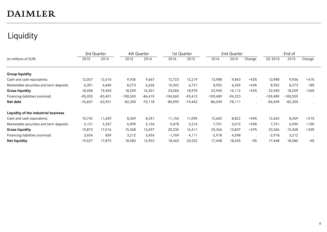### Liquidity

|                                         | 3rd Quarter |           | 4th Quarter |            | 1st Quarter |           |            | 2nd Quarter |         |            | End of     |        |
|-----------------------------------------|-------------|-----------|-------------|------------|-------------|-----------|------------|-------------|---------|------------|------------|--------|
| (in millions of EUR)                    | 2015        | 2014      | 2015        | 2014       | 2016        | 2015      | 2016       | 2015        | Change  | Q2 2016    | 2015       | Change |
|                                         |             |           |             |            |             |           |            |             |         |            |            |        |
| <b>Group liquidity</b>                  |             |           |             |            |             |           |            |             |         |            |            |        |
| Cash and cash equivalents               | 12,057      | 12,610    | 9,936       | 9,667      | 12,723      | 12,219    | 13,988     | 9,843       | $+42%$  | 13,988     | 9,936      | $+41%$ |
| Marketable securities and term deposits | 6,391       | 6,840     | 8,273       | 6,634      | 10,342      | 6,751     | 8,952      | 6,269       | $+43%$  | 8,952      | 8,273      | $+8%$  |
| <b>Gross liquidity</b>                  | 18,448      | 19,450    | 18,209      | 16,301     | 23,065      | 18,970    | 22,940     | 16,112      | $+42%$  | 22,940     | 18,209     | $+26%$ |
| Financing liabilities (nominal)         | $-95,055$   | $-83,401$ | $-100,559$  | $-86, 419$ | $-104,060$  | $-93,412$ | $-109,489$ | $-94,223$   | $\cdot$ | $-109,489$ | $-100,559$ |        |
| Net debt                                | $-76,607$   | $-63,951$ | $-82,350$   | $-70,118$  | $-80,995$   | $-74,442$ | $-86,549$  | $-78,111$   | $\cdot$ | $-86,549$  | $-82,350$  |        |
| Liquidity of the industrial business    |             |           |             |            |             |           |            |             |         |            |            |        |
| Cash and cash equivalents               | 10,742      | 11,659    | 8,369       | 8,341      | 11,156      | 11,095    | 12,665     | 8,822       | $+44%$  | 12,665     | 8,369      | $+51%$ |
| Marketable securities and term deposits | 5,131       | 5,357     | 6,999       | 5,156      | 9,078       | 5,316     | 7,701      | 5,015       | $+54%$  | 7,701      | 6,999      | $+10%$ |
| <b>Gross liquidity</b>                  | 15,873      | 17,016    | 15,368      | 13,497     | 20,234      | 16,411    | 20,366     | 13,837      | $+47%$  | 20,366     | 15,368     | $+33%$ |
| Financing liabilities (nominal)         | 3,654       | 859       | 3,212       | 3,456      | $-1,769$    | 4,111     | $-2,918$   | 4,598       |         | $-2,918$   | 3,212      |        |
| <b>Net liquidity</b>                    | 19,527      | 17,875    | 18,580      | 16,953     | 18,465      | 20,522    | 17,448     | 18,435      | $-5%$   | 17,448     | 18,580     | $-6%$  |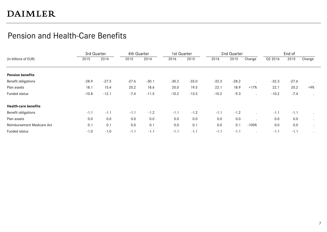### Pension and Health-Care Benefits

|                             | 3rd Quarter |         | 4th Quarter |         | 1st Quarter |         |         | 2nd Quarter |         |         | End of  |         |
|-----------------------------|-------------|---------|-------------|---------|-------------|---------|---------|-------------|---------|---------|---------|---------|
| (in billions of EUR)        | 2015        | 2014    | 2015        | 2014    | 2016        | 2015    | 2016    | 2015        | Change  | Q2 2016 | 2015    | Change  |
|                             |             |         |             |         |             |         |         |             |         |         |         |         |
| <b>Pension benefits</b>     |             |         |             |         |             |         |         |             |         |         |         |         |
| Benefit obligations         | $-28.9$     | $-27.5$ | $-27.6$     | $-30.1$ | $-30.2$     | $-33.0$ | $-32.3$ | $-28.2$     |         | $-32.3$ | $-27.6$ | $\cdot$ |
| Plan assets                 | 18.1        | 15.4    | 20.2        | 18.6    | 20.0        | 19.5    | 22.1    | 18.9        | $+17%$  | 22.1    | 20.2    | +9%     |
| Funded status               | $-10.8$     | $-12.1$ | $-7.4$      | $-11.5$ | $-10.2$     | $-13.5$ | $-10.2$ | $-9.3$      |         | $-10.2$ | $-7.4$  |         |
| <b>Health-care benefits</b> |             |         |             |         |             |         |         |             |         |         |         |         |
| Benefit obligations         | $-1.1$      | $-1.1$  | $-1.1$      | $-1.2$  | $-1.1$      | $-1.2$  | $-1.1$  | $-1.2$      |         | $-1.1$  | $-1.1$  |         |
| Plan assets                 | 0.0         | 0.0     | 0.0         | 0.0     | 0.0         | 0.0     | 0.0     | 0.0         |         | 0.0     | 0.0     | $\cdot$ |
| Reimbursement Medicare Act  | 0.1         | 0.1     | 0.0         | 0.1     | 0.0         | 0.1     | 0.0     | 0.1         | $-100%$ | 0.0     | 0.0     |         |
| Funded status               | $-1.0$      | $-1.0$  | $-1.1$      | $-1.1$  | $-1.1$      | $-1.1$  | $-1.1$  | $-1.1$      |         | $-1.1$  | $-1.1$  |         |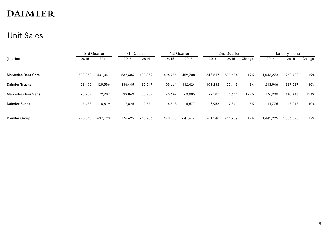### Unit Sales

|                           |         | 3rd Quarter |         | 4th Quarter |         | 1st Quarter |         | 2nd Quarter |        |           | January - June |        |  |  |
|---------------------------|---------|-------------|---------|-------------|---------|-------------|---------|-------------|--------|-----------|----------------|--------|--|--|
| (in units)                | 2015    | 2014        | 2015    | 2014        | 2016    | 2015        | 2016    | 2015        | Change | 2016      | 2015           | Change |  |  |
| <b>Mercedes-Benz Cars</b> | 508,350 | 431,041     | 532,686 | 483,359     | 496,756 | 459,708     | 546,517 | 500,694     | $+9%$  | 1,043,273 | 960,402        | +9%    |  |  |
| <b>Daimler Trucks</b>     | 128,496 | 125,556     | 136,445 | 135,517     | 105,664 | 112,424     | 108,282 | 125,113     | $-13%$ | 213,946   | 237,537        | -10%   |  |  |
| <b>Mercedes-Benz Vans</b> | 75,732  | 72,207      | 99,869  | 85,259      | 76,647  | 63,805      | 99,583  | 81,611      | $+22%$ | 176,230   | 145,416        | $+21%$ |  |  |
| <b>Daimler Buses</b>      | 7,438   | 8,619       | 7,625   | 9,771       | 4,818   | 5,677       | 6,958   | 7,341       | $-5%$  | 11,776    | 13,018         | -10%   |  |  |
| <b>Daimler Group</b>      | 720.016 | 637,423     | 776,625 | 713,906     | 683,885 | 641,614     | 761.340 | 714.759     | $+7%$  | 1,445,225 | 1,356,373      | +7%    |  |  |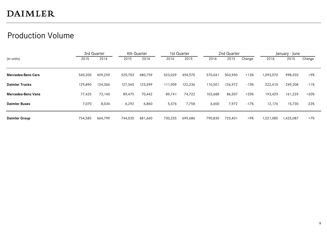### Production Volume

|                           | 3rd Quarter |         |         | 4th Quarter |         | 1st Quarter |         | 2nd Quarter |        |           | January - June |        |  |
|---------------------------|-------------|---------|---------|-------------|---------|-------------|---------|-------------|--------|-----------|----------------|--------|--|
| (in units)                | 2015        | 2014    | 2015    | 2014        | 2016    | 2015        | 2016    | 2015        | Change | 2016      | 2015           | Change |  |
|                           |             |         |         |             |         |             |         |             |        |           |                |        |  |
| <b>Mercedes-Benz Cars</b> | 540,200     | 459,259 | 520,703 | 480,759     | 523,029 | 494,970     | 570,041 | 503,950     | $+13%$ | 1,093,070 | 998,920        | +9%    |  |
| <b>Daimler Trucks</b>     | 129,890     | 124,366 | 127,565 | 123.599     | 111,909 | 122,236     | 110,501 | 126,972     | -13%   | 222,410   | 249,208        | $-11%$ |  |
| Mercedes-Benz Vans        | 77,425      | 73,140  | 89,475  | 70,442      | 89,741  | 74,722      | 103,688 | 86,507      | $+20%$ | 193,429   | 161,229        | $+20%$ |  |
| <b>Daimler Buses</b>      | 7,070       | 8,034   | 6,292   | 6,860       | 5,576   | 7,758       | 6,600   | 7,972       | $-17%$ | 12,176    | 15,730         | $-23%$ |  |
| <b>Daimler Group</b>      | 754,585     | 664,799 | 744,035 | 681,660     | 730,255 | 699,686     | 790.830 | 725.401     | +9%    | 1,521,085 | 1,425,087      | +7%    |  |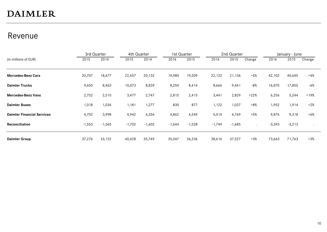### Revenue

|                                   | 3rd Quarter |          | 4th Quarter |          | 1st Quarter |          |          | 2nd Quarter |                      |          | January - June |        |
|-----------------------------------|-------------|----------|-------------|----------|-------------|----------|----------|-------------|----------------------|----------|----------------|--------|
| (in millions of EUR)              | 2015        | 2014     | 2015        | 2014     | 2016        | 2015     | 2016     | 2015        | Change               | 2016     | 2015           | Change |
|                                   |             |          |             |          |             |          |          |             |                      |          |                |        |
| <b>Mercedes-Benz Cars</b>         | 20,707      | 18,677   | 22,457      | 20,132   | 19,980      | 19,509   | 22,122   | 21,136      | $+5%$                | 42,102   | 40,645         | $+4%$  |
| <b>Daimler Trucks</b>             | 9,650       | 8,463    | 10,073      | 8,839    | 8,204       | 8,414    | 8,666    | 9,441       | $-8%$                | 16,870   | 17,855         | $-6%$  |
| <b>Mercedes-Benz Vans</b>         | 2,752       | 2,515    | 3,477       | 2,747    | 2,815       | 2,415    | 3,441    | 2,829       | $+22%$               | 6,256    | 5,244          | $+19%$ |
| <b>Daimler Buses</b>              | 1,018       | 1,034    | 1,181       | 1,277    | 830         | 877      | 1,122    | 1,037       | $+8%$                | 1,952    | 1,914          | $+2%$  |
| <b>Daimler Financial Services</b> | 4,702       | 3,998    | 4,942       | 4,356    | 4,862       | 4,549    | 5,014    | 4,769       | $+5%$                | 9,876    | 9,318          | $+6%$  |
| <b>Reconciliation</b>             | $-1,553$    | $-1,565$ | $-1,702$    | $-1,602$ | $-1,644$    | $-1,528$ | $-1,749$ | $-1,685$    | $\ddot{\phantom{a}}$ | $-3,393$ | $-3,213$       |        |
| <b>Daimler Group</b>              | 37,276      | 33,122   | 40,428      | 35,749   | 35,047      | 34,236   | 38,616   | 37,527      | $+3%$                | 73,663   | 71,763         | $+3%$  |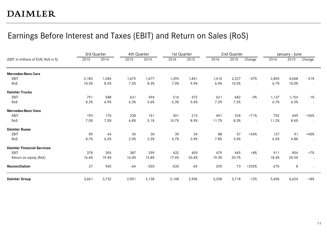### Earnings Before Interest and Taxes (EBIT) and Return on Sales (RoS)

|                                     | 3rd Quarter |       | 4th Quarter |        | 1st Quarter |       |       | 2nd Quarter |         |        | January - June |                      |
|-------------------------------------|-------------|-------|-------------|--------|-------------|-------|-------|-------------|---------|--------|----------------|----------------------|
| (EBIT in millions of EUR, RoS in %) | 2015        | 2014  | 2015        | 2014   | 2016        | 2015  | 2016  | 2015        | Change  | 2016   | 2015           | Change               |
| <b>Mercedes-Benz Cars</b>           |             |       |             |        |             |       |       |             |         |        |                |                      |
| EBIT                                | 2,183       | 1,584 | 1,675       | 1,677  | 1,395       | 1,841 | 1,410 | 2,227       | $-37%$  | 2,805  | 4,068          | $-31%$               |
| RoS                                 | 10.5%       | 8.5%  | 7.5%        | 8.3%   | 7.0%        | 9.4%  | 6.4%  | 10.5%       |         | 6.7%   | 10.0%          | $\bullet$            |
| <b>Daimler Trucks</b>               |             |       |             |        |             |       |       |             |         |        |                |                      |
| EBIT                                | 791         | 588   | 631         | 494    | 516         | 472   | 621   | 682         | $-9%$   | 1,137  | 1,154          | $-1%$                |
| RoS                                 | 8.2%        | 6.9%  | 6.3%        | 5.6%   | 6.3%        | 5.6%  | 7.2%  | 7.2%        |         | 6.7%   | 6.5%           | $\ddot{\phantom{0}}$ |
| <b>Mercedes-Benz Vans</b>           |             |       |             |        |             |       |       |             |         |        |                |                      |
| <b>EBIT</b>                         | 193         | 176   | 238         | 141    | 301         | 215   | 401   | 234         | $+71%$  | 702    | 449            | $+56%$               |
| RoS                                 | 7.0%        | 7.0%  | 6.8%        | 5.1%   | 10.7%       | 8.9%  | 11.7% | 8.3%        |         | 11.2%  | 8.6%           | $\bullet$            |
| <b>Daimler Buses</b>                |             |       |             |        |             |       |       |             |         |        |                |                      |
| EBIT                                | 89          | 64    | 34          | 30     | 39          | 34    | 88    | 57          | $+54%$  | 127    | 91             | $+40%$               |
| RoS                                 | 8.7%        | 6.2%  | 2.9%        | 2.3%   | 4.7%        | 3.9%  | 7.8%  | 5.5%        |         | 6.5%   | 4.8%           | $\bullet$            |
| <b>Daimler Financial Services</b>   |             |       |             |        |             |       |       |             |         |        |                |                      |
| EBIT                                | 378         | 355   | 387         | 299    | 432         | 409   | 479   | 445         | $+8%$   | 911    | 854            | $+7%$                |
| Return on equity (RoE)              | 16.6%       | 19.4% | 16.0%       | 15.8%  | 17.4%       | 20.4% | 19.3% | 20.7%       |         | 18.4%  | 20.5%          | $\bullet$            |
| Reconciliation                      | 27          | 965   | $-64$       | $-503$ | $-535$      | $-65$ | 259   | 73          | $+255%$ | $-276$ | 8              |                      |
| <b>Daimler Group</b>                | 3,661       | 3,732 | 2,901       | 2,138  | 2,148       | 2,906 | 3,258 | 3,718       | $-12%$  | 5,406  | 6,624          | $-18%$               |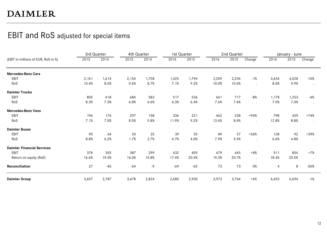### EBIT and RoS adjusted for special items

|                                     | 3rd Quarter |       | 4th Quarter |       | 1st Quarter |       |       | 2nd Quarter |                      |       | January - June |                      |
|-------------------------------------|-------------|-------|-------------|-------|-------------|-------|-------|-------------|----------------------|-------|----------------|----------------------|
| (EBIT in millions of EUR, RoS in %) | 2015        | 2014  | 2015        | 2014  | 2016        | 2015  | 2016  | 2015        | Change               | 2016  | 2015           | Change               |
| <b>Mercedes-Benz Cars</b>           |             |       |             |       |             |       |       |             |                      |       |                |                      |
| EBIT                                | 2,161       | 1,614 | 2,154       | 1,758 | 1,425       | 1,794 | 2,209 | 2,234       | $-1%$                | 3,634 | 4,028          | $-10%$               |
| RoS                                 | 10.4%       | 8.6%  | 9.6%        | 8.7%  | 7.1%        | 9.2%  | 10.0% | 10.6%       |                      | 8.6%  | 9.9%           | $\bullet$            |
| <b>Daimler Trucks</b>               |             |       |             |       |             |       |       |             |                      |       |                |                      |
| EBIT                                | 805         | 618   | 684         | 583   | 517         | 536   | 661   | 717         | $-8%$                | 1,178 | 1,253          | $-6%$                |
| RoS                                 | 8.3%        | 7.3%  | 6.8%        | 6.6%  | 6.3%        | 6.4%  | 7.6%  | 7.6%        |                      | 7.0%  | 7.0%           | $\sim$               |
| <b>Mercedes-Benz Vans</b>           |             |       |             |       |             |       |       |             |                      |       |                |                      |
| EBIT                                | 196         | 176   | 297         | 158   | 336         | 221   | 462   | 238         | $+94%$               | 798   | 459            | $+74%$               |
| RoS                                 | 7.1%        | 7.0%  | 8.5%        | 5.8%  | 11.9%       | 9.2%  | 13.4% | 8.4%        | $\bullet$            | 12.8% | 8.8%           | $\bullet$            |
| <b>Daimler Buses</b>                |             |       |             |       |             |       |       |             |                      |       |                |                      |
| EBIT                                | 90          | 64    | 20          | 35    | 39          | 35    | 89    | 57          | $+56%$               | 128   | 92             | $+39%$               |
| RoS                                 | 8.8%        | 6.2%  | 1.7%        | 2.7%  | 4.7%        | 4.0%  | 7.9%  | 5.5%        |                      | 6.6%  | 4.8%           | $\bullet$            |
| <b>Daimler Financial Services</b>   |             |       |             |       |             |       |       |             |                      |       |                |                      |
| EBIT                                | 378         | 355   | 387         | 299   | 432         | 409   | 479   | 445         | $+8%$                | 911   | 854            | $+7%$                |
| Return on equity (RoE)              | 16.6%       | 19.4% | 16.0%       | 15.8% | 17.4%       | 20.4% | 19.3% | 20.7%       | $\ddot{\phantom{1}}$ | 18.4% | 20.5%          | $\ddot{\phantom{0}}$ |
| Reconciliation                      | 27          | $-40$ | $-64$       | -9    | $-69$       | $-65$ | 73    | 73          | 0%                   | 4     | 8              | $-50%$               |
| <b>Daimler Group</b>                | 3,657       | 2,787 | 3,478       | 2,824 | 2,680       | 2,930 | 3,973 | 3,764       | $+6%$                | 6,653 | 6,694          | $-1%$                |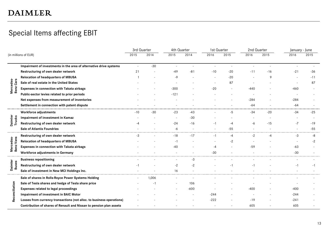### Special Items affecting EBIT

|                        |                                                                       | 3rd Quarter |       | 4th Quarter              |                          | 1st Quarter |       | 2nd Quarter |              | January - June |       |
|------------------------|-----------------------------------------------------------------------|-------------|-------|--------------------------|--------------------------|-------------|-------|-------------|--------------|----------------|-------|
|                        | (in millions of EUR)                                                  | 2015        | 2014  | 2015                     | 2014                     | 2016        | 2015  | 2016        | 2015         | 2016           | 2015  |
|                        | Impairment of investments in the area of alternative drive systems    |             | $-30$ | $\overline{\phantom{a}}$ | $\overline{\phantom{a}}$ |             |       |             |              | $\overline{a}$ |       |
|                        | Restructuring of own dealer network                                   | 21          |       | $-49$                    | $-81$                    | $-10$       | $-20$ | $-11$       | $-16$        | $-21$          | $-36$ |
|                        | Relocation of headquarters of MBUSA                                   |             |       | -9                       |                          |             | $-20$ |             | $\mathsf{Q}$ |                | -11   |
| Mercedes-<br>Benz Cars | Sale of real estate in the United States                              |             |       |                          |                          |             | 87    |             |              |                | 87    |
|                        | Expenses in connection with Takata airbags                            |             |       | $-300$                   |                          | $-20$       |       | -440        |              | -460           |       |
|                        | Public-sector levies related to prior periods                         |             |       | $-121$                   |                          |             |       |             |              |                |       |
|                        | Net expenses from measurement of inventories                          |             |       |                          |                          |             |       | $-284$      |              | $-284$         |       |
|                        | Settlement in connection with patent dispute                          |             |       |                          |                          |             |       | -64         |              | $-64$          |       |
|                        | Workforce adjustments                                                 | $-10$       | $-30$ | $-23$                    | $-43$                    |             | $-5$  | $-34$       | $-20$        | $-34$          | $-25$ |
|                        | Impairment of investment in Kamaz                                     |             |       | $\overline{a}$           | $-30$                    |             |       |             |              |                |       |
| Daimler<br>Trucks      | Restructuring of own dealer network                                   | -4          |       | $-24$                    | $-16$                    | $-1$        | $-4$  | $-6$        | $-15$        | $-7$           | $-19$ |
|                        | <b>Sale of Atlantis Foundries</b>                                     |             |       | -6                       |                          |             | $-55$ |             |              |                | $-55$ |
|                        | Restructuring of own dealer network                                   | $-3$        |       | $-18$                    | $-17$                    | $-1$        | $-4$  | $-2$        | -4           | $-3$           | -8    |
|                        | Relocation of headquarters of MBUSA                                   |             |       | $-1$                     |                          |             | $-2$  |             |              |                | $-2$  |
| Mercedes-<br>Benz Vans | Expenses in connection with Takata airbags                            |             |       | $-40$                    |                          | $-4$        |       | $-59$       |              | $-63$          |       |
|                        | Workforce adjustments in Germany                                      |             |       |                          | $\overline{\phantom{a}}$ | $-30$       |       |             |              | -30            |       |
|                        | <b>Business repositioning</b>                                         |             |       | $\overline{a}$           | $-3$                     |             |       |             |              |                |       |
| Daimler<br>Buses       | Restructuring of own dealer network                                   | -1          |       | $-2$                     | $-2$                     |             |       | -1          |              | $-1$           | $-1$  |
|                        | Sale of investment in New MCI Holdings Inc.                           |             |       | 16                       |                          |             |       |             |              |                |       |
|                        | Sale of shares in Rolls-Royce Power Systems Holding                   |             | 1,006 |                          |                          |             |       |             |              |                |       |
|                        | Sale of Tesla shares and hedge of Tesla share price                   |             | ÷,    |                          | 106                      |             |       |             |              |                |       |
| ciliation              | Expenses related to legal proceedings                                 |             |       |                          | $-600$                   |             |       | $-400$      |              | $-400$         |       |
|                        | Impairment of investment in BAIC Motor                                |             |       |                          |                          | $-244$      |       |             |              | $-244$         |       |
| Recor                  | Losses from currency transactions (not alloc. to business operations) |             |       |                          |                          | $-222$      |       | $-19$       |              | $-241$         |       |
|                        | Contribution of shares of Renault and Nissan to pension plan assets   |             |       |                          |                          |             |       | 605         |              | 605            |       |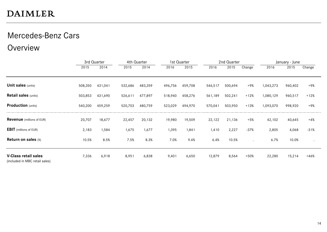### Mercedes-Benz Cars

### Overview

|                                                               |         | 3rd Quarter |         | 4th Quarter |         | 1st Quarter |         | 2nd Quarter |         |           | January - June |           |
|---------------------------------------------------------------|---------|-------------|---------|-------------|---------|-------------|---------|-------------|---------|-----------|----------------|-----------|
|                                                               | 2015    | 2014        | 2015    | 2014        | 2016    | 2015        | 2016    | 2015        | Change  | 2016      | 2015           | Change    |
|                                                               |         |             |         |             |         |             |         |             |         |           |                |           |
| <b>Unit sales (units)</b>                                     | 508,350 | 431,041     | 532,686 | 483,359     | 496,756 | 459,708     | 546,517 | 500,694     | +9%     | 1,043,273 | 960,402        | +9%       |
| <b>Retail sales (units)</b>                                   | 503,853 | 431,690     | 526,611 | 477,897     | 518,940 | 458,276     | 561,189 | 502,241     | $+12%$  | 1,080,129 | 960,517        | $+12%$    |
| <b>Production</b> (units)                                     | 540,200 | 459,259     | 520,703 | 480,759     | 523,029 | 494,970     | 570,041 | 503,950     | $+13%$  | 1,093,070 | 998,920        | +9%       |
| <b>Revenue</b> (millions of EUR)                              | 20,707  | 18,677      | 22,457  | 20,132      | 19,980  | 19,509      | 22,122  | 21,136      | $+5%$   | 42,102    | 40,645         | $+4%$     |
| <b>EBIT</b> (millions of EUR)                                 | 2,183   | 1,584       | 1,675   | 1,677       | 1,395   | 1,841       | 1,410   | 2,227       | $-37%$  | 2,805     | 4,068          | $-31%$    |
| Return on sales (%)                                           | 10.5%   | 8.5%        | 7.5%    | 8.3%        | 7.0%    | 9.4%        | 6.4%    | 10.5%       | $\cdot$ | 6.7%      | 10.0%          | $\bullet$ |
| <b>V-Class retail sales</b><br>(included in MBC retail sales) | 7,336   | 6,918       | 8,951   | 6,838       | 9,401   | 6,650       | 12,879  | 8,564       | $+50%$  | 22,280    | 15,214         | $+46%$    |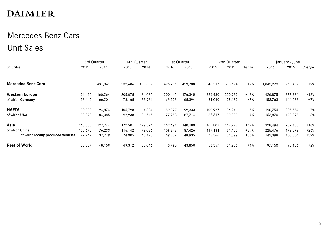### Mercedes-Benz Cars Unit Sales

|                                           | 3rd Quarter |         |         | 4th Quarter |         | 1st Quarter |         | 2nd Quarter |        |           | January - June |        |
|-------------------------------------------|-------------|---------|---------|-------------|---------|-------------|---------|-------------|--------|-----------|----------------|--------|
| (in units)                                | 2015        | 2014    | 2015    | 2014        | 2016    | 2015        | 2016    | 2015        | Change | 2016      | 2015           | Change |
| <b>Mercedes-Benz Cars</b>                 | 508,350     | 431,041 | 532,686 | 483,359     | 496,756 | 459,708     | 546,517 | 500,694     | $+9%$  | 1,043,273 | 960,402        | +9%    |
| <b>Western Europe</b>                     | 191,126     | 160,264 | 205,075 | 184,085     | 200,445 | 176,345     | 226,430 | 200,939     | $+13%$ | 426,875   | 377,284        | $+13%$ |
| of which Germany                          | 73,445      | 66,201  | 78,165  | 73,931      | 69,723  | 65,394      | 84,040  | 78,689      | +7%    | 153,763   | 144,083        | $+7%$  |
| <b>NAFTA</b>                              | 100,332     | 94,874  | 105,798 | 114,884     | 89,827  | 99,333      | 100,927 | 106,241     | $-5%$  | 190,754   | 205,574        | $-7%$  |
| of which USA                              | 88,073      | 84,085  | 92,938  | 101,515     | 77,253  | 87,714      | 86,617  | 90,383      | $-4%$  | 163,870   | 178,097        | $-8%$  |
| Asia                                      | 163,335     | 127,744 | 172,501 | 129,374     | 162,691 | 140,180     | 165,803 | 142,228     | $+17%$ | 328,494   | 282,408        | $+16%$ |
| of which China                            | 105,675     | 76,233  | 116,142 | 78,026      | 108,342 | 87,426      | 117,134 | 91,152      | $+29%$ | 225,476   | 178,578        | $+26%$ |
| of which <b>locally produced vehicles</b> | 72,249      | 37,779  | 74,905  | 43,195      | 69,832  | 48,935      | 73,566  | 54,099      | $+36%$ | 143,398   | 103,034        | +39%   |
| <b>Rest of World</b>                      | 53,557      | 48,159  | 49,312  | 55,016      | 43,793  | 43,850      | 53,357  | 51,286      | $+4%$  | 97,150    | 95,136         | $+2%$  |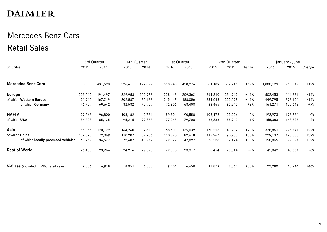### Mercedes-Benz Cars Retail Sales

|                                        |         | 3rd Quarter |         | 4th Quarter |         | 1st Quarter |         | 2nd Quarter |        |           | January - June |        |
|----------------------------------------|---------|-------------|---------|-------------|---------|-------------|---------|-------------|--------|-----------|----------------|--------|
| (in units)                             | 2015    | 2014        | 2015    | 2014        | 2016    | 2015        | 2016    | 2015        | Change | 2016      | 2015           | Change |
| <b>Mercedes-Benz Cars</b>              | 503,853 | 431,690     | 526,611 | 477,897     | 518,940 | 458,276     | 561,189 | 502,241     | $+12%$ | 1,080,129 | 960,517        | $+12%$ |
| <b>Europe</b>                          | 222,565 | 191,497     | 229,953 | 202,978     | 238,143 | 209,362     | 264,310 | 231,969     | $+14%$ | 502,453   | 441,331        | +14%   |
| of which Western Europe                | 196,960 | 167,219     | 202,587 | 175,138     | 215,147 | 188,056     | 234,648 | 205,098     | $+14%$ | 449,795   | 393,154        | $+14%$ |
| of which Germany                       | 76,759  | 69,642      | 82,582  | 75,959      | 72,806  | 68,408      | 88,465  | 82,240      | +8%    | 161,271   | 150,648        | $+7%$  |
| <b>NAFTA</b>                           | 99,768  | 96,800      | 108,182 | 112,731     | 89,801  | 90,558      | 103,172 | 103,226     | $-0\%$ | 192,973   | 193,784        | -0%    |
| of which USA                           | 86,708  | 85,125      | 95,215  | 99,357      | 77,045  | 79,708      | 88,338  | 88,917      | $-1%$  | 165,383   | 168,625        | $-2%$  |
| Asia                                   | 155,065 | 120,129     | 164,260 | 132,618     | 168,608 | 135,039     | 170,253 | 141,702     | $+20%$ | 338,861   | 276,741        | $+22%$ |
| of which China                         | 102,875 | 72,069      | 110,207 | 82,206      | 110,870 | 82,618      | 118,267 | 90,935      | +30%   | 229,137   | 173,553        | $+32%$ |
| of which locally produced vehicles     | 68,212  | 34,577      | 72,407  | 43,712      | 72,327  | 47,097      | 78,538  | 52,424      | $+50%$ | 150,865   | 99,521         | $+52%$ |
| <b>Rest of World</b>                   | 26,455  | 23,264      | 24,216  | 29,570      | 22,388  | 23,317      | 23,454  | 25,344      | -7%    | 45,842    | 48,661         | -6%    |
| V-Class (included in MBC retail sales) | 7,336   | 6,918       | 8,951   | 6,838       | 9,401   | 6,650       | 12,879  | 8,564       | $+50%$ | 22,280    | 15,214         | $+46%$ |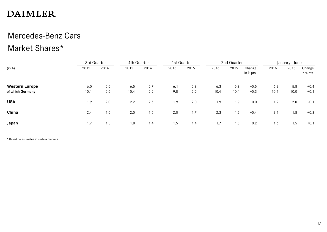### Mercedes-Benz Cars Market Shares\*

|                  | 3rd Quarter |      | 4th Quarter |      | 1st Quarter |      |      | 2nd Quarter |                     |      | January - June |                     |
|------------------|-------------|------|-------------|------|-------------|------|------|-------------|---------------------|------|----------------|---------------------|
| (in %)           | 2015        | 2014 | 2015        | 2014 | 2016        | 2015 | 2016 | 2015        | Change<br>in % pts. | 2016 | 2015           | Change<br>in % pts. |
| Western Europe   | 6.0         | 5.5  | 6.5         | 5.7  | 6.1         | 5.8  | 6.3  | 5.8         | $+0.5$              | 6.2  | 5.8            | $+0.4$              |
| of which Germany | 10.1        | 9.5  | 10.4        | 9.9  | 9.8         | 9.9  | 10.4 | 10.1        | $+0.3$              | 10.1 | 10.0           | $+0.1$              |
| <b>USA</b>       | 1.9         | 2.0  | 2.2         | 2.5  | 1.9         | 2.0  | 1.9  | 1.9         | 0.0                 | 1.9  | 2.0            | $-0.1$              |
| China            | 2.4         | 1.5  | 2.0         | 1.5  | 2.0         | 1.7  | 2.3  | 1.9         | $+0.4$              | 2.1  | 1.8            | $+0.3$              |
| Japan            | 1.7         | 1.5  | 1.8         | 1.4  | 1.5         | 1.4  | 1.7  | 1.5         | $+0.2$              | 1.6  | 1.5            | $+0.1$              |

\* Based on estimates in certain markets.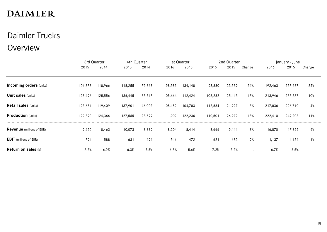## Daimler Trucks

### Overview

|                                  | 3rd Quarter |         |         | 4th Quarter |         | 1st Quarter |         | 2nd Quarter |        |         | January - June |        |
|----------------------------------|-------------|---------|---------|-------------|---------|-------------|---------|-------------|--------|---------|----------------|--------|
|                                  | 2015        | 2014    | 2015    | 2014        | 2016    | 2015        | 2016    | 2015        | Change | 2016    | 2015           | Change |
|                                  |             |         |         |             |         |             |         |             |        |         |                |        |
| <b>Incoming orders (units)</b>   | 106,378     | 118,966 | 118,255 | 172,863     | 98,583  | 134,148     | 93,880  | 123,539     | $-24%$ | 192,463 | 257,687        | $-25%$ |
| <b>Unit sales (units)</b>        | 128,496     | 125,556 | 136,445 | 135,517     | 105,664 | 112,424     | 108,282 | 125,113     | $-13%$ | 213,946 | 237,537        | $-10%$ |
| <b>Retail sales (units)</b>      | 123,651     | 119,409 | 137,901 | 146,002     | 105,152 | 104,783     | 112,684 | 121,927     | $-8%$  | 217,836 | 226,710        | -4%    |
| <b>Production</b> (units)        | 129,890     | 124,366 | 127,565 | 123,599     | 111,909 | 122,236     | 110,501 | 126,972     | $-13%$ | 222,410 | 249,208        | $-11%$ |
| <b>Revenue</b> (millions of EUR) | 9,650       | 8,463   | 10,073  | 8,839       | 8,204   | 8,414       | 8,666   | 9,441       | $-8%$  | 16,870  | 17,855         | $-6%$  |
| <b>EBIT</b> (millions of EUR)    | 791         | 588     | 631     | 494         | 516     | 472         | 621     | 682         | $-9%$  | 1,137   | 1,154          | $-1%$  |
| Return on sales (%)              | 8.2%        | 6.9%    | 6.3%    | 5.6%        | 6.3%    | 5.6%        | 7.2%    | 7.2%        |        | 6.7%    | 6.5%           |        |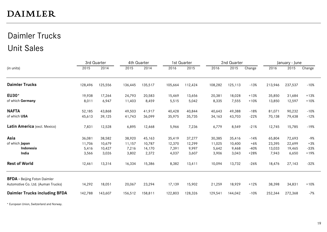### Daimler Trucks Unit Sales

|                                      |         | 3rd Quarter |         | 4th Quarter |         | 1st Quarter |         | 2nd Quarter |        |         | January - June |        |
|--------------------------------------|---------|-------------|---------|-------------|---------|-------------|---------|-------------|--------|---------|----------------|--------|
| (in units)                           | 2015    | 2014        | 2015    | 2014        | 2016    | 2015        | 2016    | 2015        | Change | 2016    | 2015           | Change |
| <b>Daimler Trucks</b>                | 128,496 | 125,556     | 136,445 | 135,517     | 105,664 | 112,424     | 108,282 | 125,113     | $-13%$ | 213,946 | 237,537        | $-10%$ |
| EU30*                                | 19,938  | 17,264      | 24,793  | 20,583      | 15,469  | 13,656      | 20,381  | 18,028      | $+13%$ | 35,850  | 31,684         | $+13%$ |
| of which Germany                     | 8,011   | 6,947       | 11,403  | 8,459       | 5,515   | 5,042       | 8,335   | 7,555       | $+10%$ | 13,850  | 12,597         | $+10%$ |
| <b>NAFTA</b>                         | 52,185  | 43,868      | 49,503  | 41,917      | 40,428  | 40,844      | 40,643  | 49,388      | $-18%$ | 81,071  | 90,232         | $-10%$ |
| of which USA                         | 45,613  | 39,125      | 41,743  | 36,099      | 35,975  | 35,735      | 34,163  | 43,703      | $-22%$ | 70,138  | 79,438         | $-12%$ |
| Latin America (excl. Mexico)         | 7,831   | 12,528      | 6,895   | 12,468      | 5,966   | 7,236       | 6,779   | 8,549       | $-21%$ | 12,745  | 15,785         | $-19%$ |
| Asia                                 | 36,081  | 38,582      | 38,920  | 45,163      | 35,419  | 37,277      | 30,385  | 35,416      | $-14%$ | 65,804  | 72,693         | -9%    |
| of which Japan                       | 11,706  | 10,679      | 11,157  | 10,787      | 12,370  | 12,299      | 11,025  | 10,400      | $+6%$  | 23,395  | 22,699         | $+3%$  |
| Indonesia                            | 5,416   | 10,427      | 7,216   | 14,170      | 7,391   | 9,997       | 5,642   | 9,468       | $-40%$ | 13,033  | 19,465         | $-33%$ |
| India                                | 3,566   | 3,026       | 3,802   | 2,372       | 4,037   | 3,607       | 3,906   | 3,043       | $+28%$ | 7,943   | 6,650          | $+19%$ |
| <b>Rest of World</b>                 | 12,461  | 13,314      | 16,334  | 15,386      | 8,382   | 13,411      | 10,094  | 13,732      | $-26%$ | 18,476  | 27,143         | $-32%$ |
| <b>BFDA</b> - Beijing Foton Daimler  |         |             |         |             |         |             |         |             |        |         |                |        |
| Automotive Co. Ltd. (Auman Trucks)   | 14,292  | 18,051      | 20,067  | 23,294      | 17,139  | 15,902      | 21,259  | 18,929      | $+12%$ | 38,398  | 34,831         | $+10%$ |
| <b>Daimler Trucks including BFDA</b> | 142,788 | 143,607     | 156,512 | 158,811     | 122,803 | 128,326     | 129,541 | 144,042     | $-10%$ | 252,344 | 272,368        | $-7%$  |

\* European Union, Switzerland and Norway.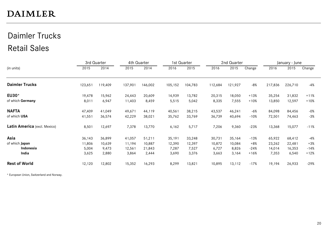### Daimler Trucks Retail Sales

|                              |         | 3rd Quarter |         | 4th Quarter |         | 1st Quarter |         | 2nd Quarter |        |         | January - June |        |
|------------------------------|---------|-------------|---------|-------------|---------|-------------|---------|-------------|--------|---------|----------------|--------|
| (in units)                   | 2015    | 2014        | 2015    | 2014        | 2016    | 2015        | 2016    | 2015        | Change | 2016    | 2015           | Change |
| <b>Daimler Trucks</b>        | 123,651 | 119,409     | 137,901 | 146,002     | 105,152 | 104,783     | 112,684 | 121,927     | -8%    | 217,836 | 226,710        | $-4%$  |
| EU30*                        | 19,478  | 15,962      | 24,443  | 20,609      | 14,939  | 13,782      | 20,315  | 18,050      | $+13%$ | 35,254  | 31,832         | $+11%$ |
| of which Germany             | 8,011   | 6,947       | 11,403  | 8,459       | 5,515   | 5,042       | 8,335   | 7,555       | $+10%$ | 13,850  | 12,597         | $+10%$ |
| <b>NAFTA</b>                 | 47,409  | 41,049      | 49,671  | 44,119      | 40,561  | 38,215      | 43,537  | 46,241      | -6%    | 84,098  | 84,456         | $-0%$  |
| of which USA                 | 41,551  | 36,574      | 42,229  | 38,021      | 35,762  | 33,769      | 36,739  | 40,694      | $-10%$ | 72,501  | 74,463         | $-3%$  |
| Latin America (excl. Mexico) | 8,501   | 12,697      | 7,378   | 13,770      | 6,162   | 5,717       | 7,206   | 9,360       | $-23%$ | 13,368  | 15,077         | $-11%$ |
| Asia                         | 36,143  | 36,899      | 41,057  | 51,211      | 35,191  | 33,248      | 30,731  | 35,164      | $-13%$ | 65,922  | 68,412         | $-4%$  |
| of which Japan               | 11,806  | 10,639      | 11,194  | 10,887      | 12,390  | 12,397      | 10,872  | 10,084      | $+8%$  | 23,262  | 22,481         | $+3%$  |
| Indonesia                    | 5,004   | 9,473       | 12,561  | 21,843      | 7,287   | 7,527       | 6,727   | 8,826       | $-24%$ | 14,014  | 16,353         | $-14%$ |
| India                        | 3,625   | 2,880       | 3,864   | 2,444       | 3,690   | 3,376       | 3,663   | 3,164       | $+16%$ | 7,353   | 6,540          | $+12%$ |
| <b>Rest of World</b>         | 12,120  | 12,802      | 15,352  | 16,293      | 8,299   | 13,821      | 10,895  | 13,112      | $-17%$ | 19,194  | 26,933         | $-29%$ |

\* European Union, Switzerland and Norway.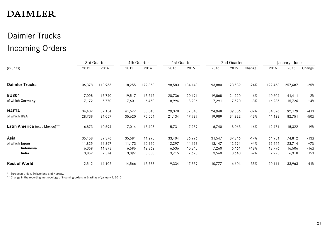### Daimler Trucks Incoming Orders

|                                |         | 3rd Quarter |         | 4th Quarter |        | 1st Quarter |        | 2nd Quarter |        |         | January - June |        |
|--------------------------------|---------|-------------|---------|-------------|--------|-------------|--------|-------------|--------|---------|----------------|--------|
| (in units)                     | 2015    | 2014        | 2015    | 2014        | 2016   | 2015        | 2016   | 2015        | Change | 2016    | 2015           | Change |
| <b>Daimler Trucks</b>          | 106,378 | 118,966     | 118,255 | 172,863     | 98,583 | 134,148     | 93,880 | 123,539     | $-24%$ | 192,463 | 257,687        | $-25%$ |
| EU30*                          | 17,098  | 15,740      | 19,517  | 17,242      | 20,736 | 20,191      | 19,868 | 21,220      | $-6%$  | 40,604  | 41,411         | $-2%$  |
| of which Germany               | 7,172   | 5,770       | 7,601   | 6,450       | 8,994  | 8,206       | 7,291  | 7,520       | $-3%$  | 16,285  | 15,726         | $+4%$  |
| <b>NAFTA</b>                   | 34,437  | 39,154      | 41,577  | 85,340      | 29,378 | 52,343      | 24,948 | 39,836      | $-37%$ | 54,326  | 92,179         | $-41%$ |
| of which USA                   | 28,739  | 34,057      | 35,620  | 75,554      | 21,134 | 47,929      | 19,989 | 34,822      | $-43%$ | 41,123  | 82,751         | $-50%$ |
| Latin America (excl. Mexico)** | 6,873   | 10,594      | 7,014   | 13,403      | 5,731  | 7,259       | 6,740  | 8,063       | $-16%$ | 12,471  | 15,322         | $-19%$ |
| Asia                           | 35,458  | 39,376      | 35,581  | 41,295      | 33,404 | 36,996      | 31,547 | 37,816      | $-17%$ | 64,951  | 74,812         | $-13%$ |
| of which Japan                 | 11,829  | 11,297      | 11,173  | 10,140      | 12,297 | 11,123      | 13,147 | 12,591      | $+4%$  | 25,444  | 23,714         | $+7%$  |
| Indonesia                      | 6,369   | 11,893      | 6,596   | 12,862      | 6,536  | 10,345      | 7,260  | 6,161       | $+18%$ | 13,796  | 16,506         | $-16%$ |
| India                          | 3,852   | 2,574       | 3,397   | 3,350       | 3,715  | 2,678       | 3,560  | 3,640       | $-2%$  | 7,275   | 6,318          | $+15%$ |
| <b>Rest of World</b>           | 12,512  | 14,102      | 14,566  | 15,583      | 9,334  | 17,359      | 10,777 | 16,604      | $-35%$ | 20,111  | 33,963         | $-41%$ |

\* European Union, Switzerland and Norway.

\*\* Change in the reporting methodology of incoming orders in Brazil as of January 1, 2015.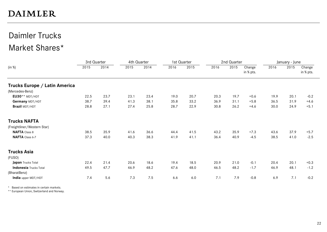## Daimler Trucks

### Market Shares\*

|                               |      | 3rd Quarter |      | 4th Quarter |      | 1st Quarter |      | 2nd Quarter |                     |      | January - June |                     |
|-------------------------------|------|-------------|------|-------------|------|-------------|------|-------------|---------------------|------|----------------|---------------------|
| (in %)                        | 2015 | 2014        | 2015 | 2014        | 2016 | 2015        | 2016 | 2015        | Change<br>in % pts. | 2016 | 2015           | Change<br>in % pts. |
| Trucks Europe / Latin America |      |             |      |             |      |             |      |             |                     |      |                |                     |
| (Mercedes-Benz)               |      |             |      |             |      |             |      |             |                     |      |                |                     |
| $EUSO**MDT/HDT$               | 22.5 | 23.7        | 23.1 | 23.4        | 19.0 | 20.7        | 20.3 | 19.7        | $+0.6$              | 19.9 | 20.1           | $-0.2$              |
| Germany MDT/HDT               | 38.7 | 39.4        | 41.3 | 38.1        | 35.8 | 33.2        | 36.9 | 31.1        | $+5.8$              | 36.5 | 31.9           | $+4.6$              |
| Brazil MDT/HDT                | 28.8 | 27.1        | 27.4 | 25.8        | 28.7 | 22.9        | 30.8 | 26.2        | $+4.6$              | 30.0 | 24.9           | $+5.1$              |
| <b>Trucks NAFTA</b>           |      |             |      |             |      |             |      |             |                     |      |                |                     |
| (Freightliner/Western Star)   |      |             |      |             |      |             |      |             |                     |      |                |                     |
| <b>NAFTA</b> Class 8          | 38.5 | 35.9        | 41.6 | 36.6        | 44.4 | 41.5        | 43.2 | 35.9        | $+7.3$              | 43.6 | 37.9           | $+5.7$              |
| NAFTA Class 6-7               | 37.3 | 40.0        | 40.3 | 38.3        | 41.9 | 41.1        | 36.4 | 40.9        | $-4.5$              | 38.5 | 41.0           | $-2.5$              |
| <b>Trucks Asia</b>            |      |             |      |             |      |             |      |             |                     |      |                |                     |
| (FUSO)                        |      |             |      |             |      |             |      |             |                     |      |                |                     |
| Japan Trucks Total            | 22.4 | 21.4        | 20.6 | 18.6        | 19.4 | 18.5        | 20.9 | 21.0        | $-0.1$              | 20.4 | 20.1           | $+0.3$              |
| <b>Indonesia</b> Trucks Total | 49.5 | 47.7        | 46.9 | 48.2        | 47.6 | 48.0        | 46.5 | 48.2        | $-1.7$              | 46.9 | 48.1           | $-1.2$              |
| (BharatBenz)                  |      |             |      |             |      |             |      |             |                     |      |                |                     |
| India upper MDT/HDT           | 7.4  | 5.6         | 7.3  | 7.5         | 6.6  | 6.0         | 7.1  | 7.9         | $-0.8$              | 6.9  | 7.1            | $-0.2$              |

\* Based on estimates in certain markets.

\*\* European Union, Switzerland and Norway.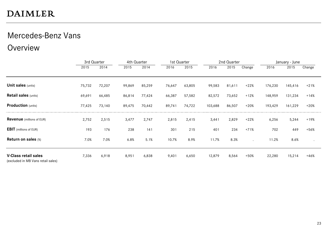### Mercedes-Benz Vans

### Overview

|                                                                   | 3rd Quarter |        | 4th Quarter |        |        | 1st Quarter |         | 2nd Quarter |         |         | January - June |        |
|-------------------------------------------------------------------|-------------|--------|-------------|--------|--------|-------------|---------|-------------|---------|---------|----------------|--------|
|                                                                   | 2015        | 2014   | 2015        | 2014   | 2016   | 2015        | 2016    | 2015        | Change  | 2016    | 2015           | Change |
| <b>Unit sales (units)</b>                                         | 75,732      | 72,207 | 99,869      | 85,259 | 76,647 | 63,805      | 99,583  | 81,611      | $+22%$  | 176,230 | 145,416        | $+21%$ |
| <b>Retail sales (units)</b>                                       | 69,691      | 66,485 | 86,814      | 77,424 | 66,387 | 57,582      | 82,572  | 73,652      | $+12%$  | 148,959 | 131,234        | $+14%$ |
| <b>Production</b> (units)                                         | 77,425      | 73,140 | 89,475      | 70,442 | 89,741 | 74,722      | 103,688 | 86,507      | $+20%$  | 193,429 | 161,229        | +20%   |
| <b>Revenue</b> (millions of EUR)                                  | 2,752       | 2,515  | 3,477       | 2,747  | 2,815  | 2,415       | 3,441   | 2,829       | $+22%$  | 6,256   | 5,244          | +19%   |
| <b>EBIT</b> (millions of EUR)                                     | 193         | 176    | 238         | 141    | 301    | 215         | 401     | 234         | $+71%$  | 702     | 449            | +56%   |
| <b>Return on sales (%)</b>                                        | 7.0%        | 7.0%   | 6.8%        | 5.1%   | 10.7%  | 8.9%        | 11.7%   | 8.3%        | $\cdot$ | 11.2%   | 8.6%           |        |
| <b>V-Class retail sales</b><br>(excluded in MB Vans retail sales) | 7,336       | 6,918  | 8,951       | 6,838  | 9,401  | 6,650       | 12,879  | 8,564       | $+50%$  | 22,280  | 15,214         | $+46%$ |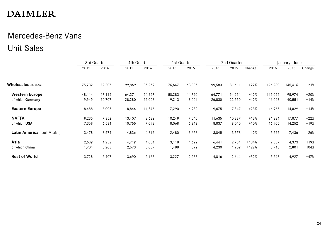### Mercedes-Benz Vans Unit Sales

|                              | 3rd Quarter |        | 4th Quarter |        | 1st Quarter |        |        | 2nd Quarter |        |         | January - June |         |
|------------------------------|-------------|--------|-------------|--------|-------------|--------|--------|-------------|--------|---------|----------------|---------|
|                              | 2015        | 2014   | 2015        | 2014   | 2016        | 2015   | 2016   | 2015        | Change | 2016    | 2015           | Change  |
| <b>Wholesales</b> (in units) | 75,732      | 72,207 | 99,869      | 85,259 | 76,647      | 63,805 | 99,583 | 81,611      | $+22%$ | 176,230 | 145,416        | $+21%$  |
| <b>Western Europe</b>        | 48,114      | 47,116 | 64,371      | 54,267 | 50,283      | 41,720 | 64,771 | 54,254      | $+19%$ | 115,054 | 95,974         | $+20%$  |
| of which Germany             | 19,549      | 20,707 | 28,280      | 22,008 | 19,213      | 18,001 | 26,830 | 22,550      | $+19%$ | 46,043  | 40,551         | $+14%$  |
| <b>Eastern Europe</b>        | 8,488       | 7,006  | 8,846       | 11,346 | 7,290       | 6,982  | 9,675  | 7,847       | $+23%$ | 16,965  | 14,829         | $+14%$  |
| <b>NAFTA</b>                 | 9,235       | 7,852  | 13,407      | 8,632  | 10,249      | 7,540  | 11,635 | 10,337      | $+13%$ | 21,884  | 17,877         | $+22%$  |
| of which USA                 | 7,369       | 6,531  | 10,755      | 7,093  | 8,068       | 6,212  | 8,837  | 8,040       | $+10%$ | 16,905  | 14,252         | +19%    |
| Latin America (excl. Mexico) | 3,478       | 3,574  | 4,836       | 4,812  | 2,480       | 3,658  | 3,045  | 3,778       | $-19%$ | 5,525   | 7,436          | $-26%$  |
| Asia                         | 2,689       | 4,252  | 4,719       | 4,034  | 3,118       | 1,622  | 6,441  | 2,751       | +134%  | 9,559   | 4,373          | $+119%$ |
| of which China               | 1,704       | 3,208  | 2,673       | 3,057  | 1,488       | 892    | 4,230  | 1,909       | +122%  | 5,718   | 2,801          | $+104%$ |
| <b>Rest of World</b>         | 3,728       | 2,407  | 3,690       | 2,168  | 3,227       | 2,283  | 4,016  | 2,644       | $+52%$ | 7,243   | 4,927          | $+47%$  |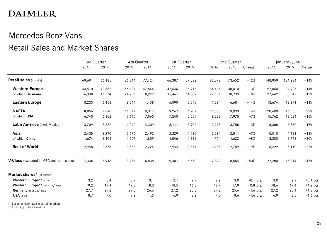### Mercedes-Benz Vans Retail Sales and Market Shares

|                                            | 3rd Quarter |        |        | 4th Quarter<br>1st Quarter |        |        |        | 2nd Quarter |             | January - June |         |             |
|--------------------------------------------|-------------|--------|--------|----------------------------|--------|--------|--------|-------------|-------------|----------------|---------|-------------|
|                                            | 2015        | 2014   | 2015   | 2014                       | 2016   | 2015   | 2016   | 2015        | Change      | 2016           | 2015    | Change      |
| <b>Retail sales</b> (in units)             | 69,691      | 66,485 | 86,814 | 77,424                     | 66,387 | 57,582 | 82,572 | 73,652      | $+12%$      | 148,959        | 131,234 | $+14%$      |
| <b>Western Europe</b>                      | 43,510      | 42,652 | 56,101 | 47,644                     | 42,646 | 36,917 | 54,414 | 48,010      | $+13%$      | 97,060         | 84,927  | $+14%$      |
| of which Germany                           | 16,338      | 17,574 | 24,236 | 18,922                     | 15,461 | 14,809 | 22,181 | 18,733      | $+18%$      | 37,642         | 33,542  | $+12%$      |
| <b>Eastern Europe</b>                      | 8,233       | 6,458  | 8,544  | 11,438                     | 6,090  | 5,590  | 7,584  | 6,681       | $+14%$      | 13,674         | 12,271  | $+11%$      |
| <b>NAFTA</b>                               | 8,856       | 7.898  | 11,817 | 9,317                      | 9,267  | 6,902  | 11,333 | 9,933       | $+14%$      | 20,600         | 16,835  | $+22%$      |
| of which USA                               | 6,740       | 6,302  | 9,615  | 7,960                      | 7,240  | 5,559  | 8,522  | 7,975       | $+7%$       | 15,762         | 13,534  | $+16%$      |
| Latin America (excl. Mexico)               | 3,709       | 3,832  | 4,240  | 4,309                      | 3,111  | 3,902  | 3,275  | 3,758       | $-13%$      | 6,386          | 7,660   | $-17%$      |
| Asia                                       | 2,435       | 3,270  | 2,575  | 2,492                      | 2,329  | 1,920  | 2,681  | 2,511       | $+7%$       | 5,010          | 4,431   | $+13%$      |
| of which China                             | 1,674       | 2,404  | 1,697  | 1,809                      | 1,546  | 1,121  | 1,754  | 1,622       | $+8%$       | 3,300          | 2,743   | $+20%$      |
| <b>Rest of World</b>                       | 2,948       | 2,375  | 3,537  | 2,224                      | 2,944  | 2,351  | 3,285  | 2,759       | $+19%$      | 6,229          | 5,110   | $+22%$      |
| V-Class (excluded in MB Vans retail sales) | 7,336       | 6,918  | 8,951  | 6,838                      | 9,401  | 6,650  | 12,879 | 8,564       | $+50%$      | 22,280         | 15,214  | $+46%$      |
| Market shares* (in percent)                |             |        |        |                            |        |        |        |             |             |                |         |             |
| Western Europe** small                     | 3.2         | 3.4    | 3.7    | 3.4                        | 3.1    | 2.7    | 2.9    | 3.0         | $-0.1$ pts. | 3.0            | 2.9     | $+0.1$ pts. |
| Western Europe** midsize/large             | 19.2        | 19.1   | 19.8   | 18.3                       | 18.5   | 16.8   | 18.7   | 17.9        | $+0.8$ pts. | 18.6           | 17.4    | $+1.2$ pts. |
| Germany midsize/large                      | 27.7        | 27.2   | 29.5   | 26.6                       | 27.2   | 25.3   | 27.2   | 25.6        | $+1.6$ pts. | 27.2           | 25.4    | $+1.8$ pts. |
| <b>USA</b> large                           | 8.7         | 9.0    | 9.2    | 11.3                       | 6.9    | 8.2    | 7.0    | 8.6         | $-1.6$ pts. | 6.9            | 8.5     | $-1.6$ pts. |

\* Based on estimates in certain markets.

\*\* Excluding United Kingdom.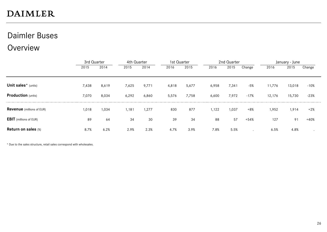### Daimler Buses

### **Overview**

|                                  |       | 3rd Quarter |       | 4th Quarter |       | 1st Quarter |       | 2nd Quarter |        |        | January - June |        |  |
|----------------------------------|-------|-------------|-------|-------------|-------|-------------|-------|-------------|--------|--------|----------------|--------|--|
|                                  | 2015  | 2014        | 2015  | 2014        | 2016  | 2015        | 2016  | 2015        | Change | 2016   | 2015           | Change |  |
|                                  |       |             |       |             |       |             |       |             |        |        |                |        |  |
| Unit sales* (units)              | 7,438 | 8,619       | 7,625 | 9,771       | 4,818 | 5,677       | 6,958 | 7,341       | $-5%$  | 11,776 | 13,018         | $-10%$ |  |
| <b>Production</b> (units)        | 7,070 | 8,034       | 6,292 | 6,860       | 5,576 | 7,758       | 6,600 | 7,972       | $-17%$ | 12,176 | 15,730         | $-23%$ |  |
| <b>Revenue</b> (millions of EUR) | 1,018 | 1.034       | 1,181 | 1,277       | 830   | 877         | 1,122 | 1,037       | $+8%$  | 1,952  | 1,914          | $+2%$  |  |
| <b>EBIT</b> (millions of EUR)    | 89    | 64          | 34    | 30          | 39    | 34          | 88    | 57          | $+54%$ | 127    | 91             | $+40%$ |  |
| <b>Return on sales (%)</b>       | 8.7%  | 6.2%        | 2.9%  | 2.3%        | 4.7%  | 3.9%        | 7.8%  | 5.5%        |        | 6.5%   | 4.8%           |        |  |

\* Due to the sales structure, retail sales correspond with wholesales.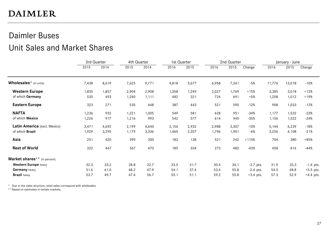### Daimler Buses

### Unit Sales and Market Shares

|                                          | 3rd Quarter |       | 4th Quarter |       | 1st Quarter<br>2nd Quarter |       |       |       | January - June |        |        |             |
|------------------------------------------|-------------|-------|-------------|-------|----------------------------|-------|-------|-------|----------------|--------|--------|-------------|
|                                          | 2015        | 2014  | 2015        | 2014  | 2016                       | 2015  | 2016  | 2015  | Change         | 2016   | 2015   | Change      |
| Wholesales* (in units)                   | 7,438       | 8,619 | 7,625       | 9,771 | 4,818                      | 5,677 | 6,958 | 7,341 | $-5%$          | 11,776 | 13,018 | $-10%$      |
| <b>Western Europe</b>                    | 1,835       | 1,857 | 2,904       | 2,908 | 1,358                      | 1,249 | 2,027 | 1,769 | $+15%$         | 3,385  | 3,018  | $+12%$      |
| of which Germany                         | 535         | 493   | 1,240       | 1,111 | 482                        | 321   | 726   | 691   | $+5%$          | 1,208  | 1,012  | +19%        |
| <b>Eastern Europe</b>                    | 323         | 271   | 535         | 448   | 387                        | 443   | 521   | 590   | $-12%$         | 908    | 1,033  | $-12%$      |
| <b>NAFTA</b>                             | 1,236       | 932   | 1,221       | 1,005 | 549                        | 581   | 628   | 951   | $-34%$         | 1,177  | 1,532  | $-23%$      |
| of which Mexico                          | 1,226       | 917   | 1,216       | 993   | 542                        | 577   | 614   | 945   | $-35%$         | 1,156  | 1,522  | $-24%$      |
| Latin America (excl. Mexico)             | 3,471       | 4,692 | 2,199       | 4,640 | 2,156                      | 2,932 | 2,988 | 3,307 | $-10%$         | 5,144  | 6,239  | $-18%$      |
| of which Brazil                          | 1,929       | 3,295 | 1,179       | 3,336 | 1,460                      | 2,207 | 1,796 | 1,901 | $-6%$          | 3,256  | 4,108  | $-21%$      |
| Asia                                     | 251         | 420   | 399         | 300   | 183                        | 138   | 521   | 242   | $+115%$        | 704    | 380    | $+85%$      |
| <b>Rest of World</b>                     | 322         | 447   | 367         | 470   | 185                        | 334   | 273   | 482   | $-43%$         | 458    | 816    | $-44%$      |
| Market shares <sup>**</sup> (in percent) |             |       |             |       |                            |       |       |       |                |        |        |             |
| Western Europe heavy                     | 32.3        | 33.2  | 28.8        | 32.7  | 33.5                       | 31.7  | 30.4  | 34.1  | $-3.7$ pts.    | 31.9   | 33.3   | $-1.4$ pts. |
| Germany heavy                            | 51.6        | 61.0  | 48.2        | 47.9  | 54.1                       | 37.4  | 53.4  | 55.8  | $-2.4$ pts.    | 54.3   | 48.8   | $+5.5$ pts. |
| <b>Brazil</b> heavy                      | 53.7        | 49.7  | 47.4        | 56.7  | 55.1                       | 51.1  | 59.2  | 55.8  | $+3.4$ pts.    | 57.3   | 52.9   | $+4.4$ pts. |

\* Due to the sales structure, retail sales correspond with wholesales.

\*\* Based on estimates in certain markets.